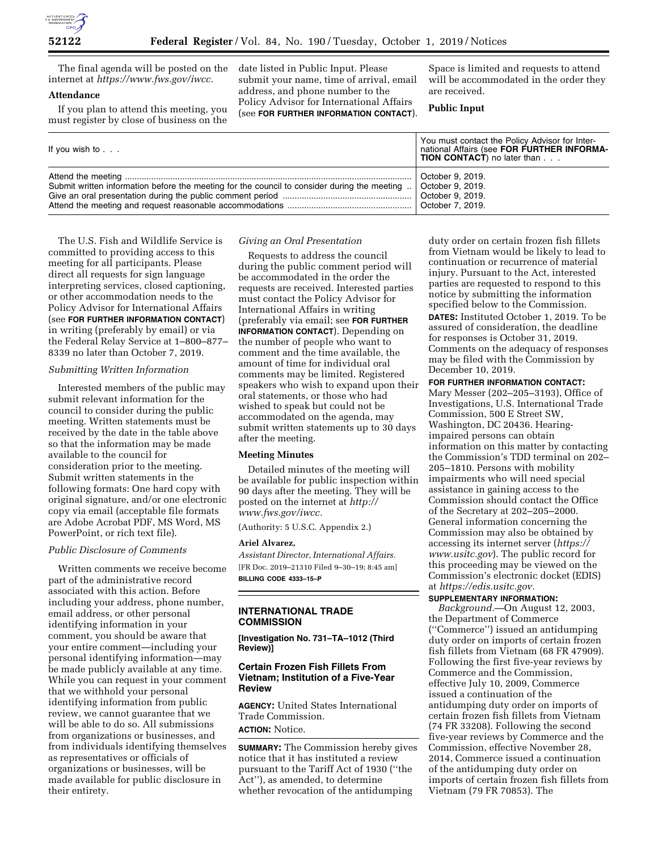

The final agenda will be posted on the internet at *https://www.fws.gov/iwcc.* 

# **Attendance**

If you plan to attend this meeting, you must register by close of business on the date listed in Public Input. Please submit your name, time of arrival, email address, and phone number to the Policy Advisor for International Affairs (see **FOR FURTHER INFORMATION CONTACT**).

Space is limited and requests to attend will be accommodated in the order they are received.

# **Public Input**

| If you wish to $\ldots$                                                                      | You must contact the Policy Advisor for Inter-<br>national Affairs (see FOR FURTHER INFORMA-<br><b>TION CONTACT</b> ) no later than |
|----------------------------------------------------------------------------------------------|-------------------------------------------------------------------------------------------------------------------------------------|
| Submit written information before the meeting for the council to consider during the meeting | October 9, 2019.<br>October 9, 2019.<br>October 7, 2019.                                                                            |

The U.S. Fish and Wildlife Service is committed to providing access to this meeting for all participants. Please direct all requests for sign language interpreting services, closed captioning, or other accommodation needs to the Policy Advisor for International Affairs (see **FOR FURTHER INFORMATION CONTACT**) in writing (preferably by email) or via the Federal Relay Service at 1–800–877– 8339 no later than October 7, 2019.

# *Submitting Written Information*

Interested members of the public may submit relevant information for the council to consider during the public meeting. Written statements must be received by the date in the table above so that the information may be made available to the council for consideration prior to the meeting. Submit written statements in the following formats: One hard copy with original signature, and/or one electronic copy via email (acceptable file formats are Adobe Acrobat PDF, MS Word, MS PowerPoint, or rich text file).

#### *Public Disclosure of Comments*

Written comments we receive become part of the administrative record associated with this action. Before including your address, phone number, email address, or other personal identifying information in your comment, you should be aware that your entire comment—including your personal identifying information—may be made publicly available at any time. While you can request in your comment that we withhold your personal identifying information from public review, we cannot guarantee that we will be able to do so. All submissions from organizations or businesses, and from individuals identifying themselves as representatives or officials of organizations or businesses, will be made available for public disclosure in their entirety.

#### *Giving an Oral Presentation*

Requests to address the council during the public comment period will be accommodated in the order the requests are received. Interested parties must contact the Policy Advisor for International Affairs in writing (preferably via email; see **FOR FURTHER INFORMATION CONTACT**). Depending on the number of people who want to comment and the time available, the amount of time for individual oral comments may be limited. Registered speakers who wish to expand upon their oral statements, or those who had wished to speak but could not be accommodated on the agenda, may submit written statements up to 30 days after the meeting.

#### **Meeting Minutes**

Detailed minutes of the meeting will be available for public inspection within 90 days after the meeting. They will be posted on the internet at *http:// www.fws.gov/iwcc.* 

(Authority: 5 U.S.C. Appendix 2.)

#### **Ariel Alvarez,**

*Assistant Director, International Affairs.*  [FR Doc. 2019–21310 Filed 9–30–19; 8:45 am]

**BILLING CODE 4333–15–P** 

# **INTERNATIONAL TRADE COMMISSION**

**[Investigation No. 731–TA–1012 (Third Review)]** 

# **Certain Frozen Fish Fillets From Vietnam; Institution of a Five-Year Review**

**AGENCY:** United States International Trade Commission. **ACTION:** Notice.

**SUMMARY:** The Commission hereby gives notice that it has instituted a review pursuant to the Tariff Act of 1930 (''the Act''), as amended, to determine whether revocation of the antidumping

duty order on certain frozen fish fillets from Vietnam would be likely to lead to continuation or recurrence of material injury. Pursuant to the Act, interested parties are requested to respond to this notice by submitting the information specified below to the Commission. **DATES:** Instituted October 1, 2019. To be assured of consideration, the deadline for responses is October 31, 2019. Comments on the adequacy of responses may be filed with the Commission by December 10, 2019. **FOR FURTHER INFORMATION CONTACT:** 

Mary Messer (202–205–3193), Office of Investigations, U.S. International Trade Commission, 500 E Street SW, Washington, DC 20436. Hearingimpaired persons can obtain information on this matter by contacting the Commission's TDD terminal on 202– 205–1810. Persons with mobility impairments who will need special assistance in gaining access to the Commission should contact the Office of the Secretary at 202–205–2000. General information concerning the Commission may also be obtained by accessing its internet server (*https:// www.usitc.gov*). The public record for this proceeding may be viewed on the Commission's electronic docket (EDIS) at *https://edis.usitc.gov.* 

# **SUPPLEMENTARY INFORMATION:**

*Background.*—On August 12, 2003, the Department of Commerce (''Commerce'') issued an antidumping duty order on imports of certain frozen fish fillets from Vietnam (68 FR 47909). Following the first five-year reviews by Commerce and the Commission, effective July 10, 2009, Commerce issued a continuation of the antidumping duty order on imports of certain frozen fish fillets from Vietnam (74 FR 33208). Following the second five-year reviews by Commerce and the Commission, effective November 28, 2014, Commerce issued a continuation of the antidumping duty order on imports of certain frozen fish fillets from Vietnam (79 FR 70853). The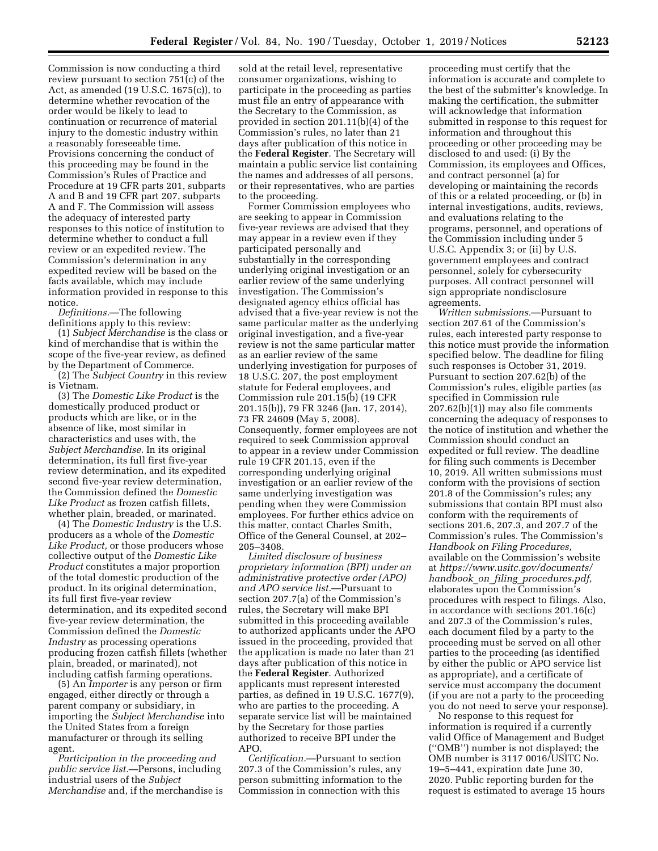Commission is now conducting a third review pursuant to section 751(c) of the Act, as amended (19 U.S.C. 1675(c)), to determine whether revocation of the order would be likely to lead to continuation or recurrence of material injury to the domestic industry within a reasonably foreseeable time. Provisions concerning the conduct of this proceeding may be found in the Commission's Rules of Practice and Procedure at 19 CFR parts 201, subparts A and B and 19 CFR part 207, subparts A and F. The Commission will assess the adequacy of interested party responses to this notice of institution to determine whether to conduct a full review or an expedited review. The Commission's determination in any expedited review will be based on the facts available, which may include information provided in response to this notice.

*Definitions.*—The following definitions apply to this review:

(1) *Subject Merchandise* is the class or kind of merchandise that is within the scope of the five-year review, as defined by the Department of Commerce.

(2) The *Subject Country* in this review is Vietnam.

(3) The *Domestic Like Product* is the domestically produced product or products which are like, or in the absence of like, most similar in characteristics and uses with, the *Subject Merchandise.* In its original determination, its full first five-year review determination, and its expedited second five-year review determination, the Commission defined the *Domestic Like Product* as frozen catfish fillets, whether plain, breaded, or marinated.

(4) The *Domestic Industry* is the U.S. producers as a whole of the *Domestic Like Product,* or those producers whose collective output of the *Domestic Like Product* constitutes a major proportion of the total domestic production of the product. In its original determination, its full first five-year review determination, and its expedited second five-year review determination, the Commission defined the *Domestic Industry* as processing operations producing frozen catfish fillets (whether plain, breaded, or marinated), not including catfish farming operations.

(5) An *Importer* is any person or firm engaged, either directly or through a parent company or subsidiary, in importing the *Subject Merchandise* into the United States from a foreign manufacturer or through its selling agent.

*Participation in the proceeding and public service list.*—Persons, including industrial users of the *Subject Merchandise* and, if the merchandise is

sold at the retail level, representative consumer organizations, wishing to participate in the proceeding as parties must file an entry of appearance with the Secretary to the Commission, as provided in section 201.11(b)(4) of the Commission's rules, no later than 21 days after publication of this notice in the **Federal Register**. The Secretary will maintain a public service list containing the names and addresses of all persons, or their representatives, who are parties to the proceeding.

Former Commission employees who are seeking to appear in Commission five-year reviews are advised that they may appear in a review even if they participated personally and substantially in the corresponding underlying original investigation or an earlier review of the same underlying investigation. The Commission's designated agency ethics official has advised that a five-year review is not the same particular matter as the underlying original investigation, and a five-year review is not the same particular matter as an earlier review of the same underlying investigation for purposes of 18 U.S.C. 207, the post employment statute for Federal employees, and Commission rule 201.15(b) (19 CFR 201.15(b)), 79 FR 3246 (Jan. 17, 2014), 73 FR 24609 (May 5, 2008). Consequently, former employees are not required to seek Commission approval to appear in a review under Commission rule 19 CFR 201.15, even if the corresponding underlying original investigation or an earlier review of the same underlying investigation was pending when they were Commission employees. For further ethics advice on this matter, contact Charles Smith, Office of the General Counsel, at 202– 205–3408.

*Limited disclosure of business proprietary information (BPI) under an administrative protective order (APO) and APO service list.*—Pursuant to section 207.7(a) of the Commission's rules, the Secretary will make BPI submitted in this proceeding available to authorized applicants under the APO issued in the proceeding, provided that the application is made no later than 21 days after publication of this notice in the **Federal Register**. Authorized applicants must represent interested parties, as defined in 19 U.S.C. 1677(9), who are parties to the proceeding. A separate service list will be maintained by the Secretary for those parties authorized to receive BPI under the APO.

*Certification.*—Pursuant to section 207.3 of the Commission's rules, any person submitting information to the Commission in connection with this

proceeding must certify that the information is accurate and complete to the best of the submitter's knowledge. In making the certification, the submitter will acknowledge that information submitted in response to this request for information and throughout this proceeding or other proceeding may be disclosed to and used: (i) By the Commission, its employees and Offices, and contract personnel (a) for developing or maintaining the records of this or a related proceeding, or (b) in internal investigations, audits, reviews, and evaluations relating to the programs, personnel, and operations of the Commission including under 5 U.S.C. Appendix 3; or (ii) by U.S. government employees and contract personnel, solely for cybersecurity purposes. All contract personnel will sign appropriate nondisclosure agreements.

*Written submissions.*—Pursuant to section 207.61 of the Commission's rules, each interested party response to this notice must provide the information specified below. The deadline for filing such responses is October 31, 2019. Pursuant to section 207.62(b) of the Commission's rules, eligible parties (as specified in Commission rule 207.62(b)(1)) may also file comments concerning the adequacy of responses to the notice of institution and whether the Commission should conduct an expedited or full review. The deadline for filing such comments is December 10, 2019. All written submissions must conform with the provisions of section 201.8 of the Commission's rules; any submissions that contain BPI must also conform with the requirements of sections 201.6, 207.3, and 207.7 of the Commission's rules. The Commission's *Handbook on Filing Procedures,*  available on the Commission's website at *https://www.usitc.gov/documents/ handbook*\_*on*\_*filing*\_*procedures.pdf,*  elaborates upon the Commission's procedures with respect to filings. Also, in accordance with sections 201.16(c) and 207.3 of the Commission's rules, each document filed by a party to the proceeding must be served on all other parties to the proceeding (as identified by either the public or APO service list as appropriate), and a certificate of service must accompany the document (if you are not a party to the proceeding you do not need to serve your response).

No response to this request for information is required if a currently valid Office of Management and Budget (''OMB'') number is not displayed; the OMB number is 3117 0016/USITC No. 19–5–441, expiration date June 30, 2020. Public reporting burden for the request is estimated to average 15 hours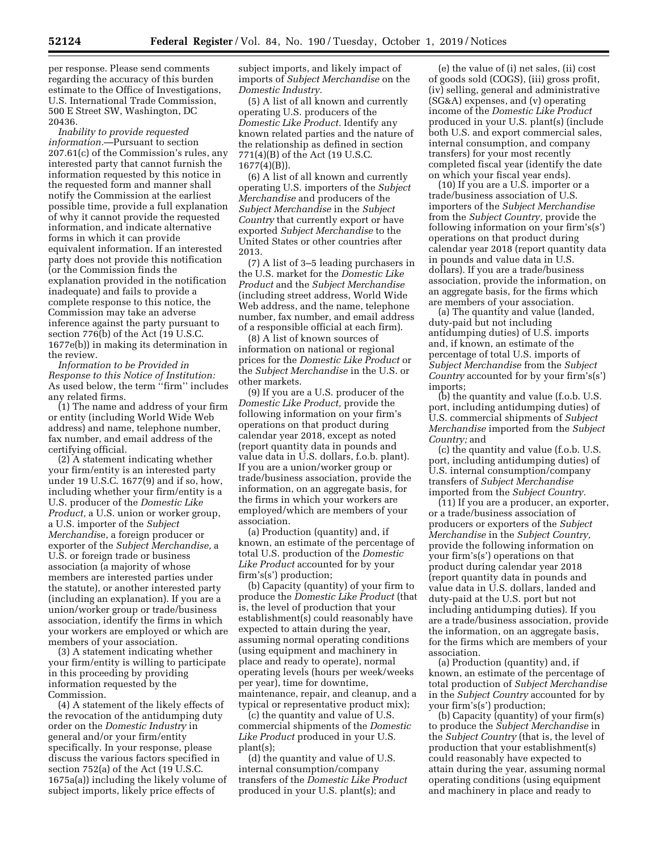per response. Please send comments regarding the accuracy of this burden estimate to the Office of Investigations, U.S. International Trade Commission, 500 E Street SW, Washington, DC 20436.

*Inability to provide requested information.*—Pursuant to section 207.61(c) of the Commission's rules, any interested party that cannot furnish the information requested by this notice in the requested form and manner shall notify the Commission at the earliest possible time, provide a full explanation of why it cannot provide the requested information, and indicate alternative forms in which it can provide equivalent information. If an interested party does not provide this notification (or the Commission finds the explanation provided in the notification inadequate) and fails to provide a complete response to this notice, the Commission may take an adverse inference against the party pursuant to section 776(b) of the Act (19 U.S.C. 1677e(b)) in making its determination in the review.

*Information to be Provided in Response to this Notice of Institution:*  As used below, the term "firm" includes any related firms.

(1) The name and address of your firm or entity (including World Wide Web address) and name, telephone number, fax number, and email address of the certifying official.

(2) A statement indicating whether your firm/entity is an interested party under 19 U.S.C. 1677(9) and if so, how, including whether your firm/entity is a U.S. producer of the *Domestic Like Product,* a U.S. union or worker group, a U.S. importer of the *Subject Merchandi*se, a foreign producer or exporter of the *Subject Merchandise,* a U.S. or foreign trade or business association (a majority of whose members are interested parties under the statute), or another interested party (including an explanation). If you are a union/worker group or trade/business association, identify the firms in which your workers are employed or which are members of your association.

(3) A statement indicating whether your firm/entity is willing to participate in this proceeding by providing information requested by the Commission.

(4) A statement of the likely effects of the revocation of the antidumping duty order on the *Domestic Industry* in general and/or your firm/entity specifically. In your response, please discuss the various factors specified in section 752(a) of the Act (19 U.S.C. 1675a(a)) including the likely volume of subject imports, likely price effects of

subject imports, and likely impact of imports of *Subject Merchandise* on the *Domestic Industry.* 

(5) A list of all known and currently operating U.S. producers of the *Domestic Like Product.* Identify any known related parties and the nature of the relationship as defined in section 771(4)(B) of the Act (19 U.S.C. 1677(4)(B)).

(6) A list of all known and currently operating U.S. importers of the *Subject Merchandise* and producers of the *Subject Merchandise* in the *Subject Country* that currently export or have exported *Subject Merchandise* to the United States or other countries after 2013.

(7) A list of 3–5 leading purchasers in the U.S. market for the *Domestic Like Product* and the *Subject Merchandise*  (including street address, World Wide Web address, and the name, telephone number, fax number, and email address of a responsible official at each firm).

(8) A list of known sources of information on national or regional prices for the *Domestic Like Product* or the *Subject Merchandise* in the U.S. or other markets.

(9) If you are a U.S. producer of the *Domestic Like Product,* provide the following information on your firm's operations on that product during calendar year 2018, except as noted (report quantity data in pounds and value data in U.S. dollars, f.o.b. plant). If you are a union/worker group or trade/business association, provide the information, on an aggregate basis, for the firms in which your workers are employed/which are members of your association.

(a) Production (quantity) and, if known, an estimate of the percentage of total U.S. production of the *Domestic Like Product* accounted for by your firm's(s') production;

(b) Capacity (quantity) of your firm to produce the *Domestic Like Product* (that is, the level of production that your establishment(s) could reasonably have expected to attain during the year, assuming normal operating conditions (using equipment and machinery in place and ready to operate), normal operating levels (hours per week/weeks per year), time for downtime, maintenance, repair, and cleanup, and a typical or representative product mix);

(c) the quantity and value of U.S. commercial shipments of the *Domestic Like Product* produced in your U.S. plant(s);

(d) the quantity and value of U.S. internal consumption/company transfers of the *Domestic Like Product*  produced in your U.S. plant(s); and

(e) the value of (i) net sales, (ii) cost of goods sold (COGS), (iii) gross profit, (iv) selling, general and administrative (SG&A) expenses, and (v) operating income of the *Domestic Like Product*  produced in your U.S. plant(s) (include both U.S. and export commercial sales, internal consumption, and company transfers) for your most recently completed fiscal year (identify the date on which your fiscal year ends).

(10) If you are a U.S. importer or a trade/business association of U.S. importers of the *Subject Merchandise*  from the *Subject Country,* provide the following information on your firm's(s') operations on that product during calendar year 2018 (report quantity data in pounds and value data in U.S. dollars). If you are a trade/business association, provide the information, on an aggregate basis, for the firms which are members of your association.

(a) The quantity and value (landed, duty-paid but not including antidumping duties) of U.S. imports and, if known, an estimate of the percentage of total U.S. imports of *Subject Merchandise* from the *Subject Country* accounted for by your firm's(s') imports;

(b) the quantity and value (f.o.b. U.S. port, including antidumping duties) of U.S. commercial shipments of *Subject Merchandise* imported from the *Subject Country;* and

(c) the quantity and value (f.o.b. U.S. port, including antidumping duties) of U.S. internal consumption/company transfers of *Subject Merchandise*  imported from the *Subject Country.* 

(11) If you are a producer, an exporter, or a trade/business association of producers or exporters of the *Subject Merchandise* in the *Subject Country,*  provide the following information on your firm's(s') operations on that product during calendar year 2018 (report quantity data in pounds and value data in U.S. dollars, landed and duty-paid at the U.S. port but not including antidumping duties). If you are a trade/business association, provide the information, on an aggregate basis, for the firms which are members of your association.

(a) Production (quantity) and, if known, an estimate of the percentage of total production of *Subject Merchandise*  in the *Subject Country* accounted for by your firm's(s') production;

(b) Capacity (quantity) of your firm(s) to produce the *Subject Merchandise* in the *Subject Country* (that is, the level of production that your establishment(s) could reasonably have expected to attain during the year, assuming normal operating conditions (using equipment and machinery in place and ready to